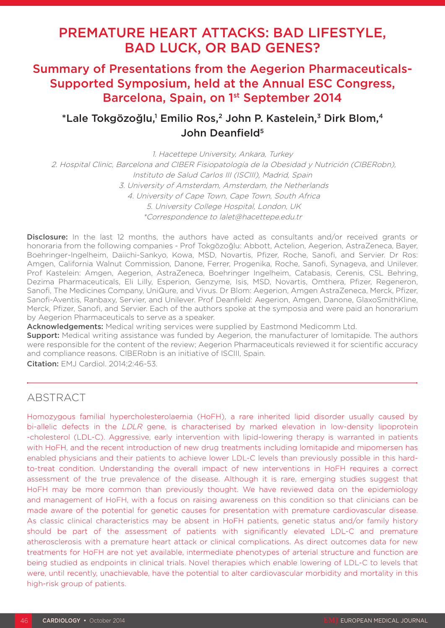# PREMATURE HEART ATTACKS: BAD LIFESTYLE, BAD LUCK, OR BAD GENES?

# Summary of Presentations from the Aegerion Pharmaceuticals-Supported Symposium, held at the Annual ESC Congress, Barcelona, Spain, on 1<sup>st</sup> September 2014

# $^*$ Lale Tokgözoğlu,<sup>1</sup> Emilio Ros,<sup>2</sup> John P. Kastelein,<sup>3</sup> Dirk Blom,<sup>4</sup> John Deanfield<sup>5</sup>

1. Hacettepe University, Ankara, Turkey 2. Hospital Clinic, Barcelona and CIBER Fisiopatología de la Obesidad y Nutrición (CIBERobn), Instituto de Salud Carlos III (ISCIII), Madrid, Spain 3. University of Amsterdam, Amsterdam, the Netherlands 4. University of Cape Town, Cape Town, South Africa 5. University College Hospital, London, UK \*Correspondence to lalet@hacettepe.edu.tr

**Disclosure:** In the last 12 months, the authors have acted as consultants and/or received grants or honoraria from the following companies - Prof Tokgözoğlu: Abbott, Actelion, Aegerion, AstraZeneca, Bayer, Boehringer-Ingelheim, Daiichi-Sankyo, Kowa, MSD, Novartis, Pfizer, Roche, Sanofi, and Servier. Dr Ros: Amgen, California Walnut Commission, Danone, Ferrer, Progenika, Roche, Sanofi, Synageva, and Unilever. Prof Kastelein: Amgen, Aegerion, AstraZeneca, Boehringer Ingelheim, Catabasis, Cerenis, CSL Behring, Dezima Pharmaceuticals, Eli Lilly, Esperion, Genzyme, Isis, MSD, Novartis, Omthera, Pfizer, Regeneron, Sanofi, The Medicines Company, UniQure, and Vivus. Dr Blom: Aegerion, Amgen AstraZeneca, Merck, Pfizer, Sanofi-Aventis, Ranbaxy, Servier, and Unilever. Prof Deanfield: Aegerion, Amgen, Danone, GlaxoSmithKline, Merck, Pfizer, Sanofi, and Servier. Each of the authors spoke at the symposia and were paid an honorarium by Aegerion Pharmaceuticals to serve as a speaker.

Acknowledgements: Medical writing services were supplied by Eastmond Medicomm Ltd.

**Support:** Medical writing assistance was funded by Aegerion, the manufacturer of lomitapide. The authors were responsible for the content of the review; Aegerion Pharmaceuticals reviewed it for scientific accuracy and compliance reasons. CIBERobn is an initiative of ISCIII, Spain.

Citation: EMJ Cardiol. 2014;2:46-53.

### **ABSTRACT**

Homozygous familial hypercholesterolaemia (HoFH), a rare inherited lipid disorder usually caused by bi-allelic defects in the LDLR gene, is characterised by marked elevation in low-density lipoprotein -cholesterol (LDL-C). Aggressive, early intervention with lipid-lowering therapy is warranted in patients with HoFH, and the recent introduction of new drug treatments including lomitapide and mipomersen has enabled physicians and their patients to achieve lower LDL-C levels than previously possible in this hardto-treat condition. Understanding the overall impact of new interventions in HoFH requires a correct assessment of the true prevalence of the disease. Although it is rare, emerging studies suggest that HoFH may be more common than previously thought. We have reviewed data on the epidemiology and management of HoFH, with a focus on raising awareness on this condition so that clinicians can be made aware of the potential for genetic causes for presentation with premature cardiovascular disease. As classic clinical characteristics may be absent in HoFH patients, genetic status and/or family history should be part of the assessment of patients with significantly elevated LDL-C and premature atherosclerosis with a premature heart attack or clinical complications. As direct outcomes data for new treatments for HoFH are not yet available, intermediate phenotypes of arterial structure and function are being studied as endpoints in clinical trials. Novel therapies which enable lowering of LDL-C to levels that were, until recently, unachievable, have the potential to alter cardiovascular morbidity and mortality in this high-risk group of patients.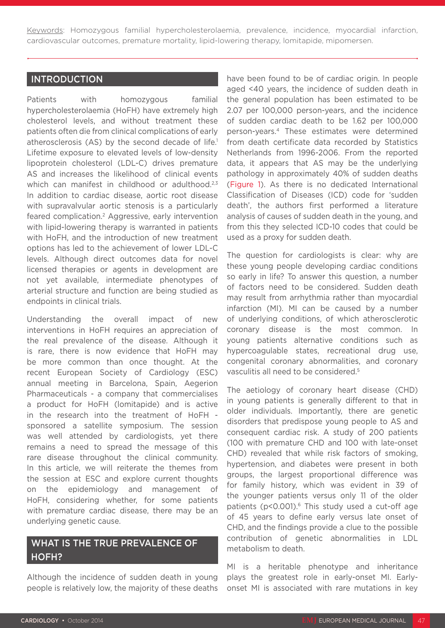Keywords: Homozygous familial hypercholesterolaemia, prevalence, incidence, myocardial infarction, cardiovascular outcomes, premature mortality, lipid-lowering therapy, lomitapide, mipomersen.

### INTRODUCTION

Patients with homozygous familial hypercholesterolaemia (HoFH) have extremely high cholesterol levels, and without treatment these patients often die from clinical complications of early atherosclerosis (AS) by the second decade of life.<sup>1</sup> Lifetime exposure to elevated levels of low-density lipoprotein cholesterol (LDL-C) drives premature AS and increases the likelihood of clinical events which can manifest in childhood or adulthood.<sup>2,3</sup> In addition to cardiac disease, aortic root disease with supravalvular aortic stenosis is a particularly feared complication.2 Aggressive, early intervention with lipid-lowering therapy is warranted in patients with HoFH, and the introduction of new treatment options has led to the achievement of lower LDL-C levels. Although direct outcomes data for novel licensed therapies or agents in development are not yet available, intermediate phenotypes of arterial structure and function are being studied as endpoints in clinical trials.

Understanding the overall impact of new interventions in HoFH requires an appreciation of the real prevalence of the disease. Although it is rare, there is now evidence that HoFH may be more common than once thought. At the recent European Society of Cardiology (ESC) annual meeting in Barcelona, Spain, Aegerion Pharmaceuticals - a company that commercialises a product for HoFH (lomitapide) and is active in the research into the treatment of HoFH sponsored a satellite symposium. The session was well attended by cardiologists, yet there remains a need to spread the message of this rare disease throughout the clinical community. In this article, we will reiterate the themes from the session at ESC and explore current thoughts on the epidemiology and management of HoFH, considering whether, for some patients with premature cardiac disease, there may be an underlying genetic cause.

### WHAT IS THE TRUE PREVALENCE OF HOFH?

Although the incidence of sudden death in young people is relatively low, the majority of these deaths

have been found to be of cardiac origin. In people aged <40 years, the incidence of sudden death in the general population has been estimated to be 2.07 per 100,000 person-years, and the incidence of sudden cardiac death to be 1.62 per 100,000 person-years.4 These estimates were determined from death certificate data recorded by Statistics Netherlands from 1996-2006. From the reported data, it appears that AS may be the underlying pathology in approximately 40% of sudden deaths (Figure 1). As there is no dedicated International Classification of Diseases (ICD) code for 'sudden death', the authors first performed a literature analysis of causes of sudden death in the young, and from this they selected ICD-10 codes that could be used as a proxy for sudden death.

The question for cardiologists is clear: why are these young people developing cardiac conditions so early in life? To answer this question, a number of factors need to be considered. Sudden death may result from arrhythmia rather than myocardial infarction (MI). MI can be caused by a number of underlying conditions, of which atherosclerotic coronary disease is the most common. In young patients alternative conditions such as hypercoagulable states, recreational drug use, congenital coronary abnormalities, and coronary vasculitis all need to be considered.5

The aetiology of coronary heart disease (CHD) in young patients is generally different to that in older individuals. Importantly, there are genetic disorders that predispose young people to AS and consequent cardiac risk. A study of 200 patients (100 with premature CHD and 100 with late-onset CHD) revealed that while risk factors of smoking, hypertension, and diabetes were present in both groups, the largest proportional difference was for family history, which was evident in 39 of the younger patients versus only 11 of the older patients ( $p$ <0.001).<sup>6</sup> This study used a cut-off age of 45 years to define early versus late onset of CHD, and the findings provide a clue to the possible contribution of genetic abnormalities in LDL metabolism to death.

MI is a heritable phenotype and inheritance plays the greatest role in early-onset MI. Earlyonset MI is associated with rare mutations in key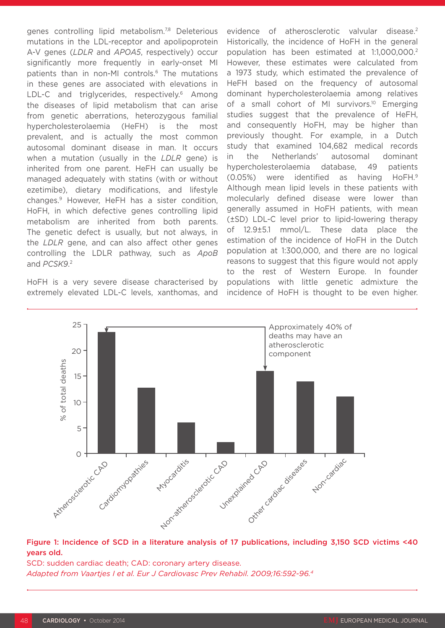genes controlling lipid metabolism.<sup>7,8</sup> Deleterious mutations in the LDL-receptor and apolipoprotein A-V genes (*LDLR* and *APOA5*, respectively) occur significantly more frequently in early-onset MI patients than in non-MI controls.6 The mutations in these genes are associated with elevations in LDL-C and triglycerides, respectively.<sup>6</sup> Among the diseases of lipid metabolism that can arise from genetic aberrations, heterozygous familial hypercholesterolaemia (HeFH) is the most prevalent, and is actually the most common autosomal dominant disease in man. It occurs when a mutation (usually in the *LDLR* gene) is inherited from one parent. HeFH can usually be managed adequately with statins (with or without ezetimibe), dietary modifications, and lifestyle changes.9 However, HeFH has a sister condition, HoFH, in which defective genes controlling lipid metabolism are inherited from both parents. The genetic defect is usually, but not always, in the *LDLR* gene, and can also affect other genes controlling the LDLR pathway, such as *ApoB* and *PCSK9*. 2

HoFH is a very severe disease characterised by extremely elevated LDL-C levels, xanthomas, and evidence of atherosclerotic valvular disease.<sup>2</sup> Historically, the incidence of HoFH in the general population has been estimated at 1:1,000,000.2 However, these estimates were calculated from a 1973 study, which estimated the prevalence of HeFH based on the frequency of autosomal dominant hypercholesterolaemia among relatives of a small cohort of MI survivors.<sup>10</sup> Emerging studies suggest that the prevalence of HeFH. and consequently HoFH, may be higher than previously thought. For example, in a Dutch study that examined 104,682 medical records in the Netherlands' autosomal dominant hypercholesterolaemia database, 49 patients (0.05%) were identified as having HoFH.9 Although mean lipid levels in these patients with molecularly defined disease were lower than generally assumed in HoFH patients, with mean (±SD) LDL-C level prior to lipid-lowering therapy of 12.9±5.1 mmol/L. These data place the estimation of the incidence of HoFH in the Dutch population at 1:300,000, and there are no logical reasons to suggest that this figure would not apply to the rest of Western Europe. In founder populations with little genetic admixture the incidence of HoFH is thought to be even higher.



#### Figure 1: Incidence of SCD in a literature analysis of 17 publications, including 3,150 SCD victims <40 years old.

SCD: sudden cardiac death; CAD: coronary artery disease. *Adapted from Vaartjes I et al. Eur J Cardiovasc Prev Rehabil. 2009;16:592-96.4*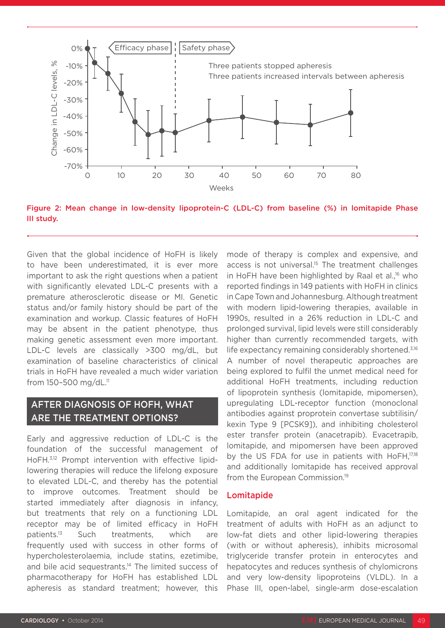

Figure 2: Mean change in low-density lipoprotein-C (LDL-C) from baseline (%) in lomitapide Phase III study.

Given that the global incidence of HoFH is likely to have been underestimated, it is ever more important to ask the right questions when a patient with significantly elevated LDL-C presents with a premature atherosclerotic disease or MI. Genetic status and/or family history should be part of the examination and workup. Classic features of HoFH may be absent in the patient phenotype, thus making genetic assessment even more important. LDL-C levels are classically >300 mg/dL, but examination of baseline characteristics of clinical trials in HoFH have revealed a much wider variation from 150–500 mg/dL.11

### AFTER DIAGNOSIS OF HOFH, WHAT ARE THE TREATMENT OPTIONS?

Early and aggressive reduction of LDL-C is the foundation of the successful management of HoFH.3,12 Prompt intervention with effective lipidlowering therapies will reduce the lifelong exposure to elevated LDL-C, and thereby has the potential to improve outcomes. Treatment should be started immediately after diagnosis in infancy, but treatments that rely on a functioning LDL receptor may be of limited efficacy in HoFH patients.<sup>13</sup> Such treatments, which are frequently used with success in other forms of hypercholesterolaemia, include statins, ezetimibe, and bile acid sequestrants.<sup>14</sup> The limited success of pharmacotherapy for HoFH has established LDL apheresis as standard treatment; however, this mode of therapy is complex and expensive, and access is not universal.<sup>15</sup> The treatment challenges in HoFH have been highlighted by Raal et al.<sup>16</sup> who reported findings in 149 patients with HoFH in clinics in Cape Town and Johannesburg. Although treatment with modern lipid-lowering therapies, available in 1990s, resulted in a 26% reduction in LDL-C and prolonged survival, lipid levels were still considerably higher than currently recommended targets, with life expectancy remaining considerably shortened.<sup>3,16</sup> A number of novel therapeutic approaches are being explored to fulfil the unmet medical need for additional HoFH treatments, including reduction of lipoprotein synthesis (lomitapide, mipomersen), upregulating LDL-receptor function (monoclonal antibodies against proprotein convertase subtilisin/ kexin Type 9 [PCSK9]), and inhibiting cholesterol ester transfer protein (anacetrapib). Evacetrapib, lomitapide, and mipomersen have been approved by the US FDA for use in patients with HoFH,<sup>17,18</sup> and additionally lomitapide has received approval from the European Commission.<sup>19</sup>

#### Lomitapide

Lomitapide, an oral agent indicated for the treatment of adults with HoFH as an adjunct to low-fat diets and other lipid-lowering therapies (with or without apheresis), inhibits microsomal triglyceride transfer protein in enterocytes and hepatocytes and reduces synthesis of chylomicrons and very low-density lipoproteins (VLDL). In a Phase III, open-label, single-arm dose-escalation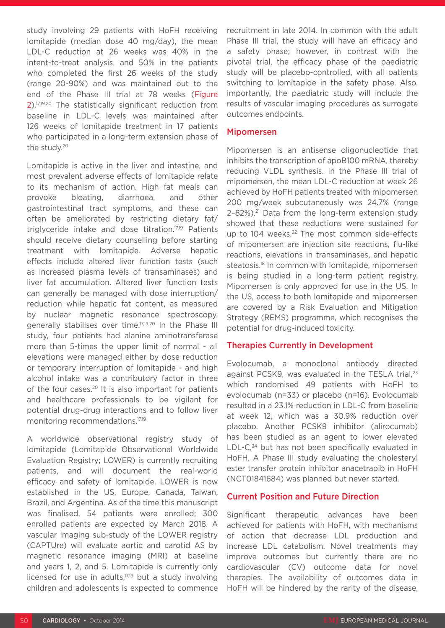study involving 29 patients with HoFH receiving lomitapide (median dose 40 mg/day), the mean LDL-C reduction at 26 weeks was 40% in the intent-to-treat analysis, and 50% in the patients who completed the first 26 weeks of the study (range 20-90%) and was maintained out to the end of the Phase III trial at 78 weeks (Figure 2).17,19,20 The statistically significant reduction from baseline in LDL-C levels was maintained after 126 weeks of lomitapide treatment in 17 patients who participated in a long-term extension phase of the study.<sup>20</sup>

Lomitapide is active in the liver and intestine, and most prevalent adverse effects of lomitapide relate to its mechanism of action. High fat meals can provoke bloating, diarrhoea, and other gastrointestinal tract symptoms, and these can often be ameliorated by restricting dietary fat/ triglyceride intake and dose titration.17,19 Patients should receive dietary counselling before starting treatment with lomitapide. Adverse hepatic effects include altered liver function tests (such as increased plasma levels of transaminases) and liver fat accumulation. Altered liver function tests can generally be managed with dose interruption/ reduction while hepatic fat content, as measured by nuclear magnetic resonance spectroscopy, generally stabilises over time.17,19,20 In the Phase III study, four patients had alanine aminotransferase more than 5-times the upper limit of normal - all elevations were managed either by dose reduction or temporary interruption of lomitapide - and high alcohol intake was a contributory factor in three of the four cases.<sup>20</sup> It is also important for patients and healthcare professionals to be vigilant for potential drug-drug interactions and to follow liver monitoring recommendations.17,19

A worldwide observational registry study of lomitapide (Lomitapide Observational Worldwide Evaluation Registry; LOWER) is currently recruiting patients, and will document the real-world efficacy and safety of lomitapide. LOWER is now established in the US, Europe, Canada, Taiwan, Brazil, and Argentina. As of the time this manuscript was finalised, 54 patients were enrolled; 300 enrolled patients are expected by March 2018. A vascular imaging sub-study of the LOWER registry (CAPTUre) will evaluate aortic and carotid AS by magnetic resonance imaging (MRI) at baseline and years 1, 2, and 5. Lomitapide is currently only licensed for use in adults.<sup>17,19</sup> but a study involving children and adolescents is expected to commence recruitment in late 2014. In common with the adult Phase III trial, the study will have an efficacy and a safety phase; however, in contrast with the pivotal trial, the efficacy phase of the paediatric study will be placebo-controlled, with all patients switching to lomitapide in the safety phase. Also, importantly, the paediatric study will include the results of vascular imaging procedures as surrogate outcomes endpoints.

#### Mipomersen

Mipomersen is an antisense oligonucleotide that inhibits the transcription of apoB100 mRNA, thereby reducing VLDL synthesis. In the Phase III trial of mipomersen, the mean LDL-C reduction at week 26 achieved by HoFH patients treated with mipomersen 200 mg/week subcutaneously was 24.7% (range  $2-82%$ ).<sup>21</sup> Data from the long-term extension study showed that these reductions were sustained for up to 104 weeks.<sup>22</sup> The most common side-effects of mipomersen are injection site reactions, flu-like reactions, elevations in transaminases, and hepatic steatosis.<sup>18</sup> In common with lomitapide, mipomersen is being studied in a long-term patient registry. Mipomersen is only approved for use in the US. In the US, access to both lomitapide and mipomersen are covered by a Risk Evaluation and Mitigation Strategy (REMS) programme, which recognises the potential for drug-induced toxicity.

#### Therapies Currently in Development

Evolocumab, a monoclonal antibody directed against PCSK9, was evaluated in the TESLA trial.<sup>23</sup> which randomised 49 patients with HoFH to evolocumab (n=33) or placebo (n=16). Evolocumab resulted in a 23.1% reduction in LDL-C from baseline at week 12, which was a 30.9% reduction over placebo. Another PCSK9 inhibitor (alirocumab) has been studied as an agent to lower elevated LDL-C<sup>24</sup> but has not been specifically evaluated in HoFH. A Phase III study evaluating the cholesteryl ester transfer protein inhibitor anacetrapib in HoFH (NCT01841684) was planned but never started.

#### Current Position and Future Direction

Significant therapeutic advances have been achieved for patients with HoFH, with mechanisms of action that decrease LDL production and increase LDL catabolism. Novel treatments may improve outcomes but currently there are no cardiovascular (CV) outcome data for novel therapies. The availability of outcomes data in HoFH will be hindered by the rarity of the disease,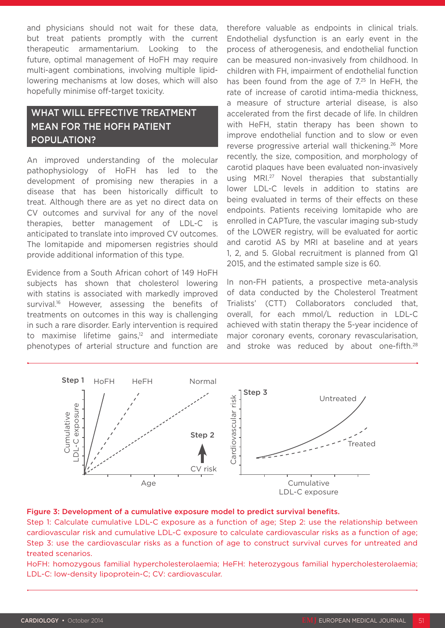and physicians should not wait for these data, but treat patients promptly with the current therapeutic armamentarium. Looking to the future, optimal management of HoFH may require multi-agent combinations, involving multiple lipidlowering mechanisms at low doses, which will also hopefully minimise off-target toxicity.

## WHAT WILL EFFECTIVE TREATMENT MEAN FOR THE HOFH PATIENT POPULATION?

An improved understanding of the molecular pathophysiology of HoFH has led to the development of promising new therapies in a disease that has been historically difficult to treat. Although there are as yet no direct data on CV outcomes and survival for any of the novel therapies, better management of LDL-C is anticipated to translate into improved CV outcomes. The lomitapide and mipomersen registries should provide additional information of this type.

Evidence from a South African cohort of 149 HoFH subjects has shown that cholesterol lowering with statins is associated with markedly improved survival.<sup>16</sup> However, assessing the benefits of treatments on outcomes in this way is challenging in such a rare disorder. Early intervention is required to maximise lifetime gains, $12$  and intermediate phenotypes of arterial structure and function are therefore valuable as endpoints in clinical trials. Endothelial dysfunction is an early event in the process of atherogenesis, and endothelial function can be measured non-invasively from childhood. In children with FH, impairment of endothelial function has been found from the age of  $7.25$  In HeFH, the rate of increase of carotid intima-media thickness, a measure of structure arterial disease, is also accelerated from the first decade of life. In children with HeFH, statin therapy has been shown to improve endothelial function and to slow or even reverse progressive arterial wall thickening.<sup>26</sup> More recently, the size, composition, and morphology of carotid plaques have been evaluated non-invasively using MRI.27 Novel therapies that substantially lower LDL-C levels in addition to statins are being evaluated in terms of their effects on these endpoints. Patients receiving lomitapide who are enrolled in CAPTure, the vascular imaging sub-study of the LOWER registry, will be evaluated for aortic and carotid AS by MRI at baseline and at years 1, 2, and 5. Global recruitment is planned from Q1 2015, and the estimated sample size is 60.

In non-FH patients, a prospective meta-analysis of data conducted by the Cholesterol Treatment Trialists' (CTT) Collaborators concluded that, overall, for each mmol/L reduction in LDL-C achieved with statin therapy the 5-year incidence of major coronary events, coronary revascularisation, and stroke was reduced by about one-fifth.<sup>28</sup>



#### Figure 3: Development of a cumulative exposure model to predict survival benefits.

Step 1: Calculate cumulative LDL-C exposure as a function of age; Step 2: use the relationship between cardiovascular risk and cumulative LDL-C exposure to calculate cardiovascular risks as a function of age; Step 3: use the cardiovascular risks as a function of age to construct survival curves for untreated and treated scenarios.

HoFH: homozygous familial hypercholesterolaemia; HeFH: heterozygous familial hypercholesterolaemia; LDL-C: low-density lipoprotein-C; CV: cardiovascular.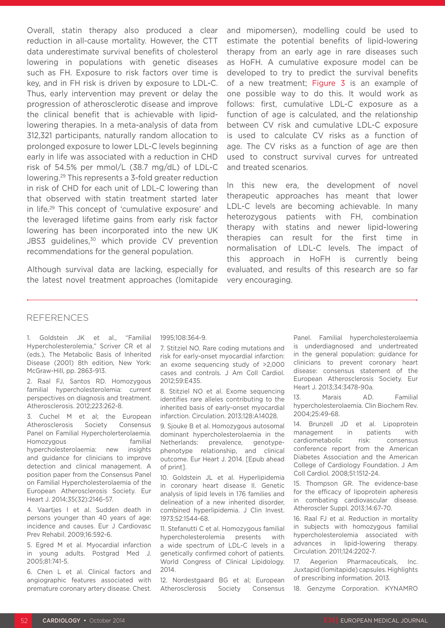Overall, statin therapy also produced a clear reduction in all-cause mortality. However, the CTT data underestimate survival benefits of cholesterol lowering in populations with genetic diseases such as FH. Exposure to risk factors over time is key, and in FH risk is driven by exposure to LDL-C. Thus, early intervention may prevent or delay the progression of atherosclerotic disease and improve the clinical benefit that is achievable with lipidlowering therapies. In a meta-analysis of data from 312,321 participants, naturally random allocation to prolonged exposure to lower LDL-C levels beginning early in life was associated with a reduction in CHD risk of 54.5% per mmol/L (38.7 mg/dL) of LDL-C lowering.29 This represents a 3-fold greater reduction in risk of CHD for each unit of LDL-C lowering than that observed with statin treatment started later in life.29 This concept of 'cumulative exposure' and the leveraged lifetime gains from early risk factor lowering has been incorporated into the new UK JBS3 guidelines,<sup>30</sup> which provide CV prevention recommendations for the general population.

Although survival data are lacking, especially for the latest novel treatment approaches (lomitapide and mipomersen), modelling could be used to estimate the potential benefits of lipid-lowering therapy from an early age in rare diseases such as HoFH. A cumulative exposure model can be developed to try to predict the survival benefits of a new treatment; Figure 3 is an example of one possible way to do this. It would work as follows: first, cumulative LDL-C exposure as a function of age is calculated, and the relationship between CV risk and cumulative LDL-C exposure is used to calculate CV risks as a function of age. The CV risks as a function of age are then used to construct survival curves for untreated and treated scenarios.

In this new era, the development of novel therapeutic approaches has meant that lower LDL-C levels are becoming achievable. In many heterozygous patients with FH, combination therapy with statins and newer lipid-lowering therapies can result for the first time in normalisation of LDL-C levels. The impact of this approach in HoFH is currently being evaluated, and results of this research are so far very encouraging.

#### **REFERENCES**

1. Goldstein JK et al., "Familial Hypercholesterolemia," Scriver CR et al (eds.), The Metabolic Basis of Inherited Disease (2001) 8th edition, New York: McGraw-Hill, pp. 2863-913.

2. Raal FJ, Santos RD. Homozygous familial hypercholesterolemia: current perspectives on diagnosis and treatment. Atherosclerosis. 2012;223:262-8.

3. Cuchel M et al; the European Atherosclerosis Society Consensus Panel on Familial Hypercholerterolaemia. Homozygous familial hypercholesterolaemia: new insights and guidance for clinicians to improve detection and clinical management. A position paper from the Consensus Panel on Familial Hypercholesterolaemia of the European Atherosclerosis Society. Eur Heart J. 2014;35(32):2146-57.

4. Vaartjes I et al. Sudden death in persons younger than 40 years of age: incidence and causes. Eur J Cardiovasc Prev Rehabil. 2009;16:592-6.

5. Egred M et al. Myocardial infarction in young adults. Postgrad Med J. 2005;81:741-5.

6. Chen L et al. Clinical factors and angiographic features associated with premature coronary artery disease. Chest. 1995;108:364-9.

7. Stitziel NO. Rare coding mutations and risk for early-onset myocardial infarction: an exome sequencing study of >2,000 cases and controls. J Am Coll Cardiol. 2012;59:E435.

8. Stitziel NO et al. Exome sequencing identifies rare alleles contributing to the inherited basis of early-onset myocardial infarction. Circulation. 2013;128:A14028.

9. Sjouke B et al. Homozygous autosomal dominant hypercholesterolaemia in the Netherlands: prevalence, genotypephenotype relationship, and clinical outcome. Eur Heart J. 2014. [Epub ahead of print].

10. Goldstein JL et al. Hyperlipidemia in coronary heart disease II. Genetic analysis of lipid levels in 176 families and delineation of a new inherited disorder, combined hyperlipidemia. J Clin Invest. 1973;52:1544-68.

11. Stefanutti C et al. Homozygous familial hypercholesterolemia presents with a wide spectrum of LDL-C levels in a genetically confirmed cohort of patients. World Congress of Clinical Lipidology. 2014.

12. Nordestgaard BG et al; European Atherosclerosis Society Consensus Panel. Familial hypercholesterolaemia is underdiagnosed and undertreated in the general population: guidance for clinicians to prevent coronary heart disease: consensus statement of the European Atherosclerosis Society. Eur Heart J. 2013;34:3478-90a.

13. Marais AD. Familial hypercholesterolaemia. Clin Biochem Rev. 2004;25:49-68.

14. Brunzell JD et al. Lipoprotein management in patients with cardiometabolic risk: consensus conference report from the American Diabetes Association and the American College of Cardiology Foundation. J Am Coll Cardiol. 2008;51:1512-24.

15. Thompson GR. The evidence-base for the efficacy of lipoprotein apheresis in combating cardiovascular disease. Atheroscler Suppl. 2013;14:67-70.

16. Raal FJ et al. Reduction in mortality in subjects with homozygous familial hypercholesterolemia associated with advances in lipid-lowering therapy. Circulation. 2011;124:2202-7.

17. Aegerion Pharmaceuticals, Inc. Juxtapid (lomitapide) capsules. Highlights of prescribing information. 2013.

18. Genzyme Corporation. KYNAMRO